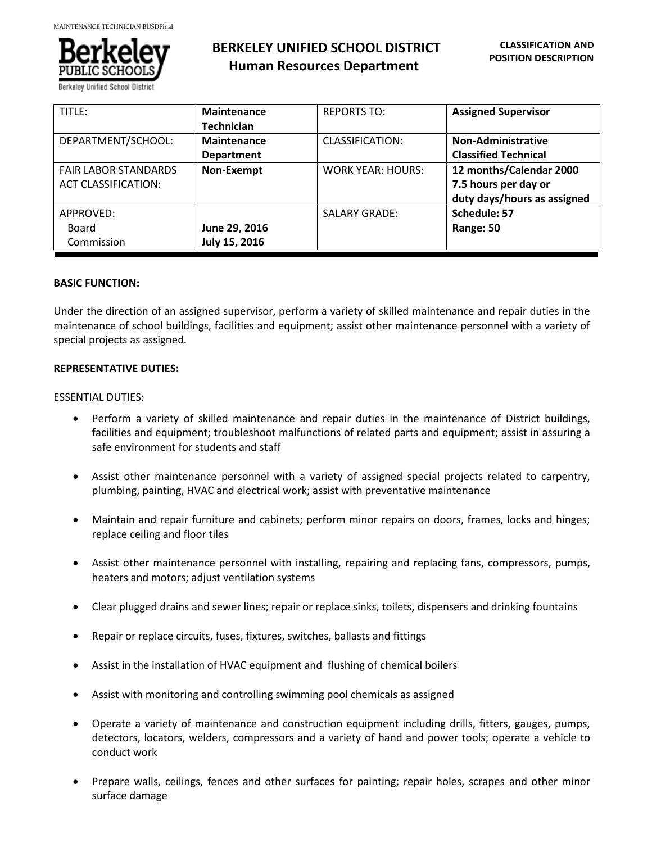

# **BERKELEY UNIFIED SCHOOL DISTRICT Human Resources Department**

| TITLE:                                             | <b>Maintenance</b><br><b>Technician</b> | <b>REPORTS TO:</b>       | <b>Assigned Supervisor</b>                                                     |
|----------------------------------------------------|-----------------------------------------|--------------------------|--------------------------------------------------------------------------------|
| DEPARTMENT/SCHOOL:                                 | <b>Maintenance</b><br><b>Department</b> | CLASSIFICATION:          | <b>Non-Administrative</b><br><b>Classified Technical</b>                       |
| <b>FAIR LABOR STANDARDS</b><br>ACT CLASSIFICATION: | Non-Exempt                              | <b>WORK YEAR: HOURS:</b> | 12 months/Calendar 2000<br>7.5 hours per day or<br>duty days/hours as assigned |
| APPROVED:<br>Board<br>Commission                   | June 29, 2016<br>July 15, 2016          | <b>SALARY GRADE:</b>     | Schedule: 57<br>Range: 50                                                      |

#### **BASIC FUNCTION:**

Under the direction of an assigned supervisor, perform a variety of skilled maintenance and repair duties in the maintenance of school buildings, facilities and equipment; assist other maintenance personnel with a variety of special projects as assigned.

#### **REPRESENTATIVE DUTIES:**

#### ESSENTIAL DUTIES:

- Perform a variety of skilled maintenance and repair duties in the maintenance of District buildings, facilities and equipment; troubleshoot malfunctions of related parts and equipment; assist in assuring a safe environment for students and staff
- Assist other maintenance personnel with a variety of assigned special projects related to carpentry, plumbing, painting, HVAC and electrical work; assist with preventative maintenance
- Maintain and repair furniture and cabinets; perform minor repairs on doors, frames, locks and hinges; replace ceiling and floor tiles
- Assist other maintenance personnel with installing, repairing and replacing fans, compressors, pumps, heaters and motors; adjust ventilation systems
- Clear plugged drains and sewer lines; repair or replace sinks, toilets, dispensers and drinking fountains
- Repair or replace circuits, fuses, fixtures, switches, ballasts and fittings
- Assist in the installation of HVAC equipment and flushing of chemical boilers
- Assist with monitoring and controlling swimming pool chemicals as assigned
- Operate a variety of maintenance and construction equipment including drills, fitters, gauges, pumps, detectors, locators, welders, compressors and a variety of hand and power tools; operate a vehicle to conduct work
- Prepare walls, ceilings, fences and other surfaces for painting; repair holes, scrapes and other minor surface damage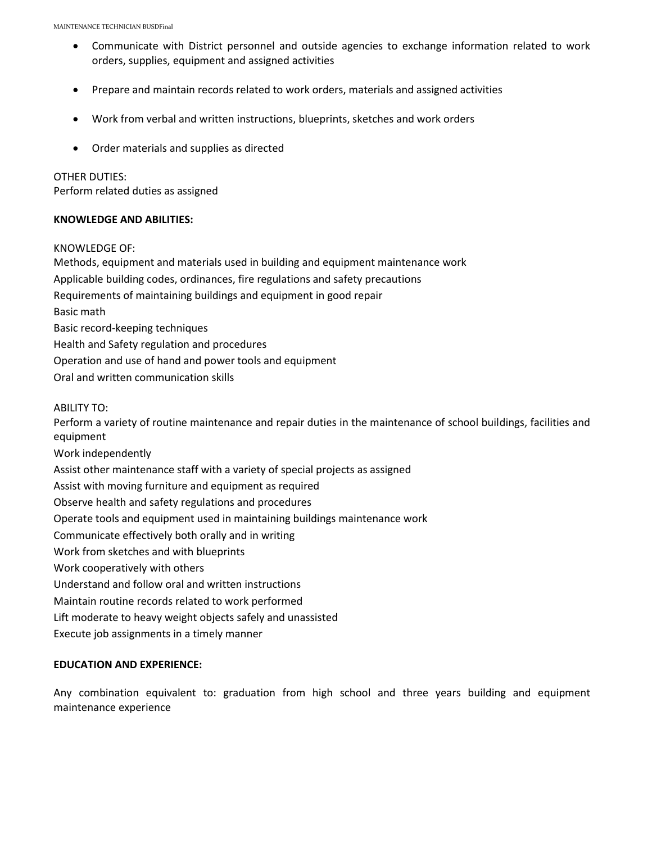- Communicate with District personnel and outside agencies to exchange information related to work orders, supplies, equipment and assigned activities
- Prepare and maintain records related to work orders, materials and assigned activities
- Work from verbal and written instructions, blueprints, sketches and work orders
- Order materials and supplies as directed

### OTHER DUTIES:

Perform related duties as assigned

#### **KNOWLEDGE AND ABILITIES:**

#### KNOWLEDGE OF:

Methods, equipment and materials used in building and equipment maintenance work Applicable building codes, ordinances, fire regulations and safety precautions Requirements of maintaining buildings and equipment in good repair Basic math Basic record-keeping techniques Health and Safety regulation and procedures Operation and use of hand and power tools and equipment Oral and written communication skills

ABILITY TO:

Perform a variety of routine maintenance and repair duties in the maintenance of school buildings, facilities and equipment

Work independently

Assist other maintenance staff with a variety of special projects as assigned

Assist with moving furniture and equipment as required

Observe health and safety regulations and procedures

Operate tools and equipment used in maintaining buildings maintenance work

Communicate effectively both orally and in writing

Work from sketches and with blueprints

Work cooperatively with others

Understand and follow oral and written instructions

Maintain routine records related to work performed

Lift moderate to heavy weight objects safely and unassisted

Execute job assignments in a timely manner

# **EDUCATION AND EXPERIENCE:**

Any combination equivalent to: graduation from high school and three years building and equipment maintenance experience